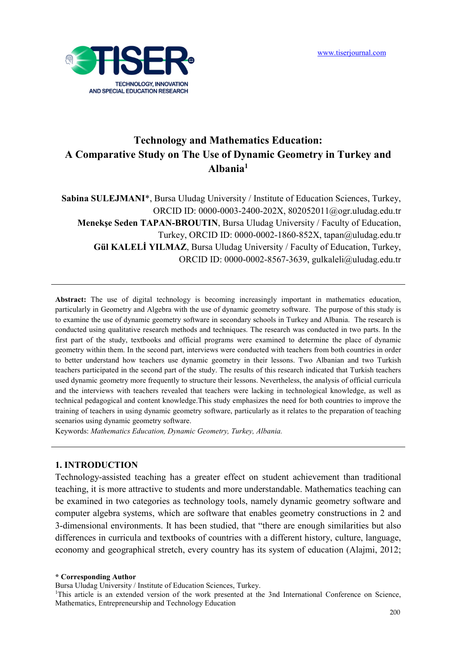

# **Technology and Mathematics Education: A Comparative Study on The Use of Dynamic Geometry in Turkey and Albania<sup>1</sup>**

Sabina SULEJMANI<sup>\*</sup>, Bursa Uludag University / Institute of Education Sciences, Turkey, ORCID ID: 0000-0003-2400-202X, 802052011@ogr.uludag.edu.tr  **Menekşe Seden TAPAN-BROUTIN**, Bursa Uludag University / Faculty of Education, Turkey, ORCID ID: 0000-0002-1860-852X, tapan@uludag.edu.tr **Gül KALELİ YILMAZ**, Bursa Uludag University / Faculty of Education, Turkey, ORCID ID: 0000-0002-8567-3639, gulkaleli@uludag.edu.tr

**Abstract:** The use of digital technology is becoming increasingly important in mathematics education, particularly in Geometry and Algebra with the use of dynamic geometry software. The purpose of this study is to examine the use of dynamic geometry software in secondary schools in Turkey and Albania. The research is conducted using qualitative research methods and techniques. The research was conducted in two parts. In the first part of the study, textbooks and official programs were examined to determine the place of dynamic geometry within them. In the second part, interviews were conducted with teachers from both countries in order to better understand how teachers use dynamic geometry in their lessons. Two Albanian and two Turkish teachers participated in the second part of the study. The results of this research indicated that Turkish teachers used dynamic geometry more frequently to structure their lessons. Nevertheless, the analysis of official curricula and the interviews with teachers revealed that teachers were lacking in technological knowledge, as well as technical pedagogical and content knowledge.This study emphasizes the need for both countries to improve the training of teachers in using dynamic geometry software, particularly as it relates to the preparation of teaching scenarios using dynamic geometry software.

Keywords: *Mathematics Education, Dynamic Geometry, Turkey, Albania.* 

#### **1. INTRODUCTION**

Technology-assisted teaching has a greater effect on student achievement than traditional teaching, it is more attractive to students and more understandable. Mathematics teaching can be examined in two categories as technology tools, namely dynamic geometry software and computer algebra systems, which are software that enables geometry constructions in 2 and 3-dimensional environments. It has been studied, that "there are enough similarities but also differences in curricula and textbooks of countries with a different history, culture, language, economy and geographical stretch, every country has its system of education (Alajmi, 2012;

**\* Corresponding Author** 

Bursa Uludag University / Institute of Education Sciences, Turkey.

<sup>&</sup>lt;sup>1</sup>This article is an extended version of the work presented at the 3nd International Conference on Science, Mathematics, Entrepreneurship and Technology Education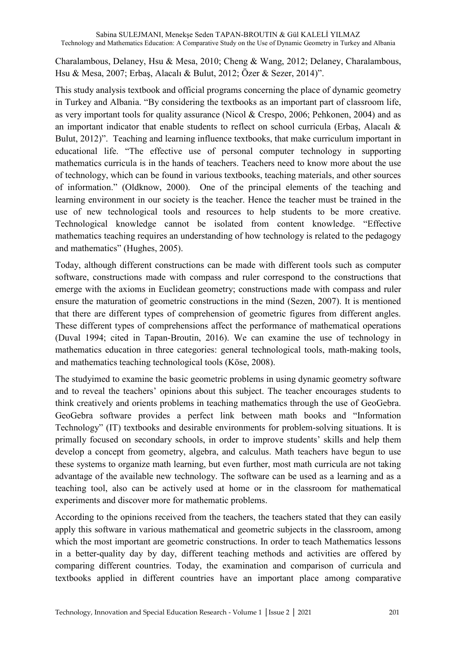Charalambous, Delaney, Hsu & Mesa, 2010; Cheng & Wang, 2012; Delaney, Charalambous, Hsu & Mesa, 2007; Erbaş, Alacalı & Bulut, 2012; Özer & Sezer, 2014)".

This study analysis textbook and official programs concerning the place of dynamic geometry in Turkey and Albania. "By considering the textbooks as an important part of classroom life, as very important tools for quality assurance (Nicol & Crespo, 2006; Pehkonen, 2004) and as an important indicator that enable students to reflect on school curricula (Erbaş, Alacalı & Bulut, 2012)". Teaching and learning influence textbooks, that make curriculum important in educational life. "The effective use of personal computer technology in supporting mathematics curricula is in the hands of teachers. Teachers need to know more about the use of technology, which can be found in various textbooks, teaching materials, and other sources of information." (Oldknow, 2000). One of the principal elements of the teaching and learning environment in our society is the teacher. Hence the teacher must be trained in the use of new technological tools and resources to help students to be more creative. Technological knowledge cannot be isolated from content knowledge. "Effective mathematics teaching requires an understanding of how technology is related to the pedagogy and mathematics" (Hughes, 2005).

Today, although different constructions can be made with different tools such as computer software, constructions made with compass and ruler correspond to the constructions that emerge with the axioms in Euclidean geometry; constructions made with compass and ruler ensure the maturation of geometric constructions in the mind (Sezen, 2007). It is mentioned that there are different types of comprehension of geometric figures from different angles. These different types of comprehensions affect the performance of mathematical operations (Duval 1994; cited in Tapan-Broutin, 2016). We can examine the use of technology in mathematics education in three categories: general technological tools, math-making tools, and mathematics teaching technological tools (Köse, 2008).

The studyimed to examine the basic geometric problems in using dynamic geometry software and to reveal the teachers' opinions about this subject. The teacher encourages students to think creatively and orients problems in teaching mathematics through the use of GeoGebra. GeoGebra software provides a perfect link between math books and "Information Technology" (IT) textbooks and desirable environments for problem-solving situations. It is primally focused on secondary schools, in order to improve students' skills and help them develop a concept from geometry, algebra, and calculus. Math teachers have begun to use these systems to organize math learning, but even further, most math curricula are not taking advantage of the available new technology. The software can be used as a learning and as a teaching tool, also can be actively used at home or in the classroom for mathematical experiments and discover more for mathematic problems.

According to the opinions received from the teachers, the teachers stated that they can easily apply this software in various mathematical and geometric subjects in the classroom, among which the most important are geometric constructions. In order to teach Mathematics lessons in a better-quality day by day, different teaching methods and activities are offered by comparing different countries. Today, the examination and comparison of curricula and textbooks applied in different countries have an important place among comparative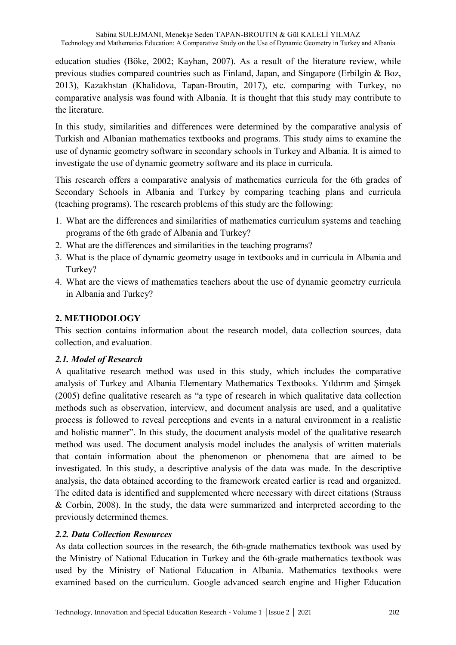education studies (Böke, 2002; Kayhan, 2007). As a result of the literature review, while previous studies compared countries such as Finland, Japan, and Singapore (Erbilgin & Boz, 2013), Kazakhstan (Khalidova, Tapan-Broutin, 2017), etc. comparing with Turkey, no comparative analysis was found with Albania. It is thought that this study may contribute to the literature.

In this study, similarities and differences were determined by the comparative analysis of Turkish and Albanian mathematics textbooks and programs. This study aims to examine the use of dynamic geometry software in secondary schools in Turkey and Albania. It is aimed to investigate the use of dynamic geometry software and its place in curricula.

This research offers a comparative analysis of mathematics curricula for the 6th grades of Secondary Schools in Albania and Turkey by comparing teaching plans and curricula (teaching programs). The research problems of this study are the following:

- 1. What are the differences and similarities of mathematics curriculum systems and teaching programs of the 6th grade of Albania and Turkey?
- 2. What are the differences and similarities in the teaching programs?
- 3. What is the place of dynamic geometry usage in textbooks and in curricula in Albania and Turkey?
- 4. What are the views of mathematics teachers about the use of dynamic geometry curricula in Albania and Turkey?

# **2. METHODOLOGY**

This section contains information about the research model, data collection sources, data collection, and evaluation.

## *2.1. Model of Research*

A qualitative research method was used in this study, which includes the comparative analysis of Turkey and Albania Elementary Mathematics Textbooks. Yıldırım and Şimşek (2005) define qualitative research as "a type of research in which qualitative data collection methods such as observation, interview, and document analysis are used, and a qualitative process is followed to reveal perceptions and events in a natural environment in a realistic and holistic manner". In this study, the document analysis model of the qualitative research method was used. The document analysis model includes the analysis of written materials that contain information about the phenomenon or phenomena that are aimed to be investigated. In this study, a descriptive analysis of the data was made. In the descriptive analysis, the data obtained according to the framework created earlier is read and organized. The edited data is identified and supplemented where necessary with direct citations (Strauss & Corbin, 2008). In the study, the data were summarized and interpreted according to the previously determined themes.

## *2.2. Data Collection Resources*

As data collection sources in the research, the 6th-grade mathematics textbook was used by the Ministry of National Education in Turkey and the 6th-grade mathematics textbook was used by the Ministry of National Education in Albania. Mathematics textbooks were examined based on the curriculum. Google advanced search engine and Higher Education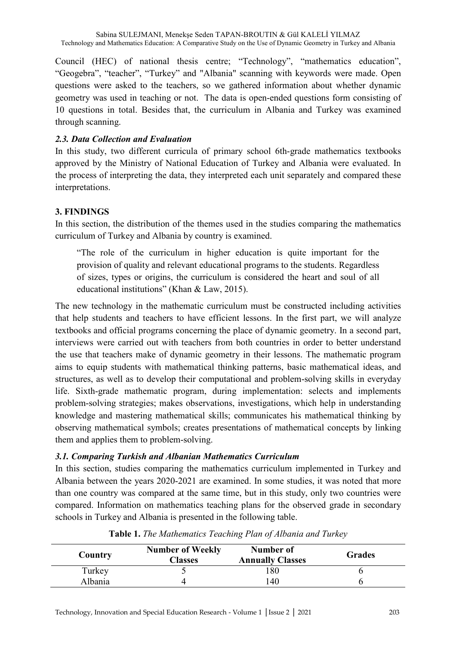Council (HEC) of national thesis centre; "Technology", "mathematics education", "Geogebra", "teacher", "Turkey" and "Albania" scanning with keywords were made. Open questions were asked to the teachers, so we gathered information about whether dynamic geometry was used in teaching or not. The data is open-ended questions form consisting of 10 questions in total. Besides that, the curriculum in Albania and Turkey was examined through scanning.

#### *2.3. Data Collection and Evaluation*

In this study, two different curricula of primary school 6th-grade mathematics textbooks approved by the Ministry of National Education of Turkey and Albania were evaluated. In the process of interpreting the data, they interpreted each unit separately and compared these interpretations.

### **3. FINDINGS**

In this section, the distribution of the themes used in the studies comparing the mathematics curriculum of Turkey and Albania by country is examined.

"The role of the curriculum in higher education is quite important for the provision of quality and relevant educational programs to the students. Regardless of sizes, types or origins, the curriculum is considered the heart and soul of all educational institutions" (Khan & Law, 2015).

The new technology in the mathematic curriculum must be constructed including activities that help students and teachers to have efficient lessons. In the first part, we will analyze textbooks and official programs concerning the place of dynamic geometry. In a second part, interviews were carried out with teachers from both countries in order to better understand the use that teachers make of dynamic geometry in their lessons. The mathematic program aims to equip students with mathematical thinking patterns, basic mathematical ideas, and structures, as well as to develop their computational and problem-solving skills in everyday life. Sixth-grade mathematic program, during implementation: selects and implements problem-solving strategies; makes observations, investigations, which help in understanding knowledge and mastering mathematical skills; communicates his mathematical thinking by observing mathematical symbols; creates presentations of mathematical concepts by linking them and applies them to problem-solving.

#### *3.1. Comparing Turkish and Albanian Mathematics Curriculum*

In this section, studies comparing the mathematics curriculum implemented in Turkey and Albania between the years 2020-2021 are examined. In some studies, it was noted that more than one country was compared at the same time, but in this study, only two countries were compared. Information on mathematics teaching plans for the observed grade in secondary schools in Turkey and Albania is presented in the following table.

| Country | <b>Number of Weekly</b><br><b>Classes</b> | Number of<br><b>Annually Classes</b> | <b>Grades</b> |
|---------|-------------------------------------------|--------------------------------------|---------------|
| Turkey  |                                           | 180                                  |               |
| Albania |                                           | 140                                  |               |

**Table 1.** *The Mathematics Teaching Plan of Albania and Turkey*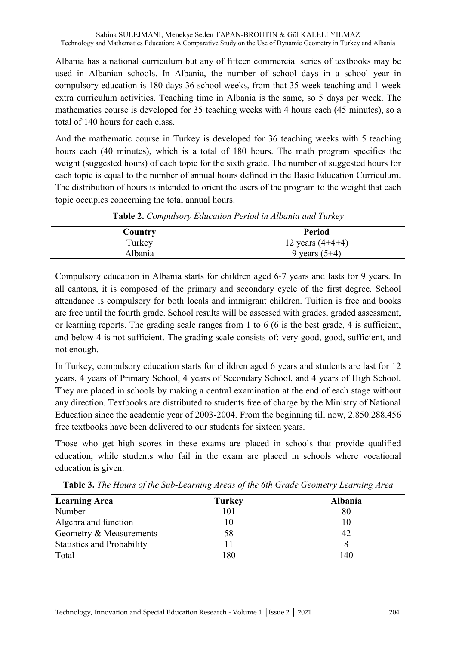Albania has a national curriculum but any of fifteen commercial series of textbooks may be used in Albanian schools. In Albania, the number of school days in a school year in compulsory education is 180 days 36 school weeks, from that 35-week teaching and 1-week extra curriculum activities. Teaching time in Albania is the same, so 5 days per week. The mathematics course is developed for 35 teaching weeks with 4 hours each (45 minutes), so a total of 140 hours for each class.

And the mathematic course in Turkey is developed for 36 teaching weeks with 5 teaching hours each (40 minutes), which is a total of 180 hours. The math program specifies the weight (suggested hours) of each topic for the sixth grade. The number of suggested hours for each topic is equal to the number of annual hours defined in the Basic Education Curriculum. The distribution of hours is intended to orient the users of the program to the weight that each topic occupies concerning the total annual hours.

| Country | <b>Period</b>      |
|---------|--------------------|
| Turkey  | 12 years $(4+4+4)$ |
| Albania | 9 years $(5+4)$    |
|         |                    |

**Table 2.** *Compulsory Education Period in Albania and Turkey*

Compulsory education in Albania starts for children aged 6-7 years and lasts for 9 years. In all cantons, it is composed of the primary and secondary cycle of the first degree. School attendance is compulsory for both locals and immigrant children. Tuition is free and books are free until the fourth grade. School results will be assessed with grades, graded assessment, or learning reports. The grading scale ranges from 1 to 6 (6 is the best grade, 4 is sufficient, and below 4 is not sufficient. The grading scale consists of: very good, good, sufficient, and not enough.

In Turkey, compulsory education starts for children aged 6 years and students are last for 12 years, 4 years of Primary School, 4 years of Secondary School, and 4 years of High School. They are placed in schools by making a central examination at the end of each stage without any direction. Textbooks are distributed to students free of charge by the Ministry of National Education since the academic year of 2003-2004. From the beginning till now, 2.850.288.456 free textbooks have been delivered to our students for sixteen years.

Those who get high scores in these exams are placed in schools that provide qualified education, while students who fail in the exam are placed in schools where vocational education is given.

| <b>Learning Area</b>              | <b>Turkey</b> | Albania |
|-----------------------------------|---------------|---------|
| Number                            | 101           | 80      |
| Algebra and function              |               | 10      |
| Geometry & Measurements           | 58            | 42      |
| <b>Statistics and Probability</b> |               |         |
| Total                             | 180           | 140     |

**Table 3.** *The Hours of the Sub-Learning Areas of the 6th Grade Geometry Learning Area*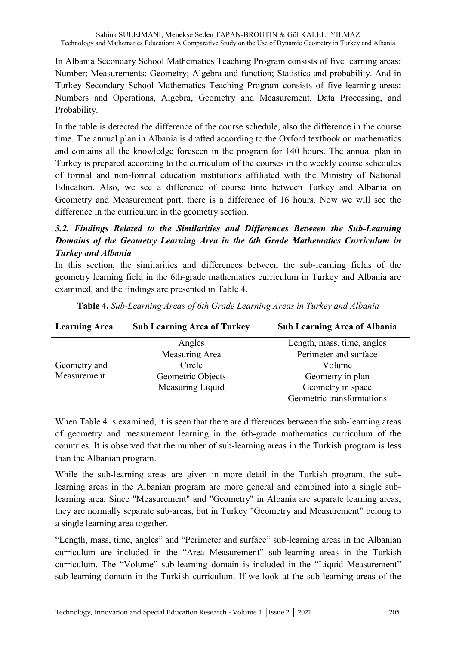In Albania Secondary School Mathematics Teaching Program consists of five learning areas: Number; Measurements; Geometry; Algebra and function; Statistics and probability. And in Turkey Secondary School Mathematics Teaching Program consists of five learning areas: Numbers and Operations, Algebra, Geometry and Measurement, Data Processing, and Probability.

In the table is detected the difference of the course schedule, also the difference in the course time. The annual plan in Albania is drafted according to the Oxford textbook on mathematics and contains all the knowledge foreseen in the program for 140 hours. The annual plan in Turkey is prepared according to the curriculum of the courses in the weekly course schedules of formal and non-formal education institutions affiliated with the Ministry of National Education. Also, we see a difference of course time between Turkey and Albania on Geometry and Measurement part, there is a difference of 16 hours. Now we will see the difference in the curriculum in the geometry section.

# *3.2. Findings Related to the Similarities and Differences Between the Sub-Learning Domains of the Geometry Learning Area in the 6th Grade Mathematics Curriculum in Turkey and Albania*

In this section, the similarities and differences between the sub-learning fields of the geometry learning field in the 6th-grade mathematics curriculum in Turkey and Albania are examined, and the findings are presented in Table 4.

| <b>Learning Area</b> | <b>Sub Learning Area of Turkey</b> | <b>Sub Learning Area of Albania</b> |
|----------------------|------------------------------------|-------------------------------------|
|                      | Angles                             | Length, mass, time, angles          |
|                      | Measuring Area                     | Perimeter and surface               |
| Geometry and         | Circle                             | Volume                              |
| Measurement          | Geometric Objects                  | Geometry in plan                    |
|                      | Measuring Liquid                   | Geometry in space                   |
|                      |                                    | Geometric transformations           |

**Table 4.** *Sub-Learning Areas of 6th Grade Learning Areas in Turkey and Albania*

When Table 4 is examined, it is seen that there are differences between the sub-learning areas of geometry and measurement learning in the 6th-grade mathematics curriculum of the countries. It is observed that the number of sub-learning areas in the Turkish program is less than the Albanian program.

While the sub-learning areas are given in more detail in the Turkish program, the sublearning areas in the Albanian program are more general and combined into a single sublearning area. Since "Measurement" and "Geometry" in Albania are separate learning areas, they are normally separate sub-areas, but in Turkey "Geometry and Measurement" belong to a single learning area together.

"Length, mass, time, angles" and "Perimeter and surface" sub-learning areas in the Albanian curriculum are included in the "Area Measurement" sub-learning areas in the Turkish curriculum. The "Volume" sub-learning domain is included in the "Liquid Measurement" sub-learning domain in the Turkish curriculum. If we look at the sub-learning areas of the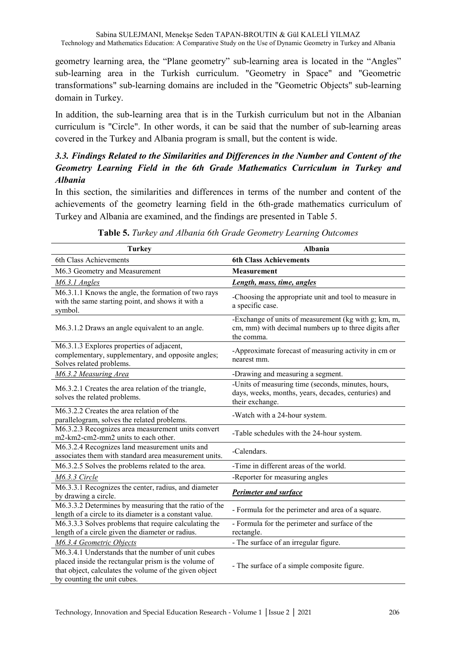geometry learning area, the "Plane geometry" sub-learning area is located in the "Angles" sub-learning area in the Turkish curriculum. "Geometry in Space" and "Geometric transformations" sub-learning domains are included in the "Geometric Objects" sub-learning domain in Turkey.

In addition, the sub-learning area that is in the Turkish curriculum but not in the Albanian curriculum is "Circle". In other words, it can be said that the number of sub-learning areas covered in the Turkey and Albania program is small, but the content is wide.

# *3.3. Findings Related to the Similarities and Differences in the Number and Content of the Geometry Learning Field in the 6th Grade Mathematics Curriculum in Turkey and Albania*

In this section, the similarities and differences in terms of the number and content of the achievements of the geometry learning field in the 6th-grade mathematics curriculum of Turkey and Albania are examined, and the findings are presented in Table 5.

| <b>Turkey</b>                                                                                                                                                                                       | <b>Albania</b>                                                                                                               |
|-----------------------------------------------------------------------------------------------------------------------------------------------------------------------------------------------------|------------------------------------------------------------------------------------------------------------------------------|
| 6th Class Achievements                                                                                                                                                                              | <b>6th Class Achievements</b>                                                                                                |
| M6.3 Geometry and Measurement                                                                                                                                                                       | <b>Measurement</b>                                                                                                           |
| M6.3.1 Angles                                                                                                                                                                                       | Length, mass, time, angles                                                                                                   |
| M6.3.1.1 Knows the angle, the formation of two rays<br>with the same starting point, and shows it with a<br>symbol.                                                                                 | -Choosing the appropriate unit and tool to measure in<br>a specific case.                                                    |
| M6.3.1.2 Draws an angle equivalent to an angle.                                                                                                                                                     | -Exchange of units of measurement (kg with g; km, m,<br>cm, mm) with decimal numbers up to three digits after<br>the comma.  |
| M6.3.1.3 Explores properties of adjacent,<br>complementary, supplementary, and opposite angles;<br>Solves related problems.                                                                         | -Approximate forecast of measuring activity in cm or<br>nearest mm.                                                          |
| M6.3.2 Measuring Area                                                                                                                                                                               | -Drawing and measuring a segment.                                                                                            |
| M6.3.2.1 Creates the area relation of the triangle,<br>solves the related problems.                                                                                                                 | -Units of measuring time (seconds, minutes, hours,<br>days, weeks, months, years, decades, centuries) and<br>their exchange. |
| M6.3.2.2 Creates the area relation of the<br>parallelogram, solves the related problems.                                                                                                            | -Watch with a 24-hour system.                                                                                                |
| M6.3.2.3 Recognizes area measurement units convert<br>m2-km2-cm2-mm2 units to each other.                                                                                                           | -Table schedules with the 24-hour system.                                                                                    |
| M6.3.2.4 Recognizes land measurement units and<br>associates them with standard area measurement units.                                                                                             | -Calendars.                                                                                                                  |
| M6.3.2.5 Solves the problems related to the area.                                                                                                                                                   | -Time in different areas of the world.                                                                                       |
| M6.3.3 Circle                                                                                                                                                                                       | -Reporter for measuring angles                                                                                               |
| M6.3.3.1 Recognizes the center, radius, and diameter<br>by drawing a circle.                                                                                                                        | <b>Perimeter and surface</b>                                                                                                 |
| M6.3.3.2 Determines by measuring that the ratio of the<br>length of a circle to its diameter is a constant value.                                                                                   | - Formula for the perimeter and area of a square.                                                                            |
| M6.3.3.3 Solves problems that require calculating the<br>length of a circle given the diameter or radius.                                                                                           | - Formula for the perimeter and surface of the<br>rectangle.                                                                 |
| M6.3.4 Geometric Objects                                                                                                                                                                            | - The surface of an irregular figure.                                                                                        |
| M6.3.4.1 Understands that the number of unit cubes<br>placed inside the rectangular prism is the volume of<br>that object, calculates the volume of the given object<br>by counting the unit cubes. | - The surface of a simple composite figure.                                                                                  |

**Table 5.** *Turkey and Albania 6th Grade Geometry Learning Outcomes*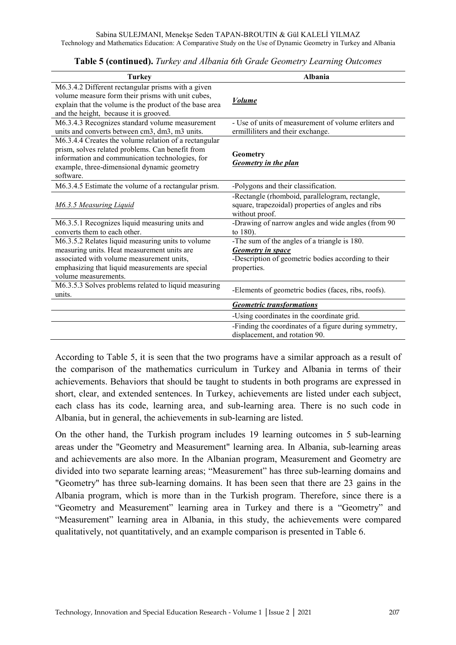| <b>Turkey</b>                                                                                                                                                                                                             | <b>Albania</b>                                                                                                                          |
|---------------------------------------------------------------------------------------------------------------------------------------------------------------------------------------------------------------------------|-----------------------------------------------------------------------------------------------------------------------------------------|
| M6.3.4.2 Different rectangular prisms with a given<br>volume measure form their prisms with unit cubes,<br>explain that the volume is the product of the base area<br>and the height, because it is grooved.              | <b>Volume</b>                                                                                                                           |
| M6.3.4.3 Recognizes standard volume measurement<br>units and converts between cm3, dm3, m3 units.                                                                                                                         | - Use of units of measurement of volume erliters and<br>ermilliliters and their exchange.                                               |
| M6.3.4.4 Creates the volume relation of a rectangular<br>prism, solves related problems. Can benefit from<br>information and communication technologies, for<br>example, three-dimensional dynamic geometry<br>software.  | Geometry<br>Geometry in the plan                                                                                                        |
| M6.3.4.5 Estimate the volume of a rectangular prism.                                                                                                                                                                      | -Polygons and their classification.                                                                                                     |
| M6.3.5 Measuring Liquid                                                                                                                                                                                                   | -Rectangle (rhomboid, parallelogram, rectangle,<br>square, trapezoidal) properties of angles and ribs<br>without proof.                 |
| M6.3.5.1 Recognizes liquid measuring units and<br>converts them to each other.                                                                                                                                            | -Drawing of narrow angles and wide angles (from 90<br>to 180).                                                                          |
| M6.3.5.2 Relates liquid measuring units to volume<br>measuring units. Heat measurement units are<br>associated with volume measurement units,<br>emphasizing that liquid measurements are special<br>volume measurements. | -The sum of the angles of a triangle is 180.<br>Geometry in space<br>-Description of geometric bodies according to their<br>properties. |
| M6.3.5.3 Solves problems related to liquid measuring<br>units.                                                                                                                                                            | -Elements of geometric bodies (faces, ribs, roofs).                                                                                     |
|                                                                                                                                                                                                                           | <b>Geometric transformations</b>                                                                                                        |
|                                                                                                                                                                                                                           | -Using coordinates in the coordinate grid.                                                                                              |
|                                                                                                                                                                                                                           | -Finding the coordinates of a figure during symmetry,<br>displacement, and rotation 90.                                                 |

**Table 5 (continued).** *Turkey and Albania 6th Grade Geometry Learning Outcomes*

According to Table 5, it is seen that the two programs have a similar approach as a result of the comparison of the mathematics curriculum in Turkey and Albania in terms of their achievements. Behaviors that should be taught to students in both programs are expressed in short, clear, and extended sentences. In Turkey, achievements are listed under each subject, each class has its code, learning area, and sub-learning area. There is no such code in Albania, but in general, the achievements in sub-learning are listed.

On the other hand, the Turkish program includes 19 learning outcomes in 5 sub-learning areas under the "Geometry and Measurement" learning area. In Albania, sub-learning areas and achievements are also more. In the Albanian program, Measurement and Geometry are divided into two separate learning areas; "Measurement" has three sub-learning domains and "Geometry" has three sub-learning domains. It has been seen that there are 23 gains in the Albania program, which is more than in the Turkish program. Therefore, since there is a "Geometry and Measurement" learning area in Turkey and there is a "Geometry" and "Measurement" learning area in Albania, in this study, the achievements were compared qualitatively, not quantitatively, and an example comparison is presented in Table 6.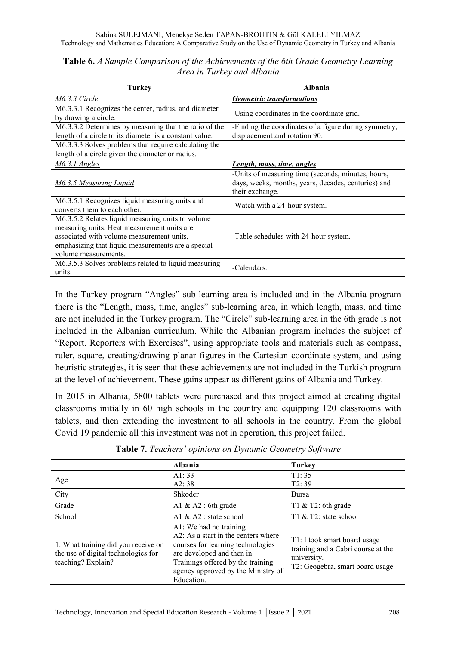| <b>Turkey</b>                                                                                                                                                                                                               | Albania                                                                                                                      |
|-----------------------------------------------------------------------------------------------------------------------------------------------------------------------------------------------------------------------------|------------------------------------------------------------------------------------------------------------------------------|
| $M6.3.3$ Circle                                                                                                                                                                                                             | <b>Geometric transformations</b>                                                                                             |
| M6.3.3.1 Recognizes the center, radius, and diameter<br>by drawing a circle.                                                                                                                                                | -Using coordinates in the coordinate grid.                                                                                   |
| M6.3.3.2 Determines by measuring that the ratio of the<br>length of a circle to its diameter is a constant value.                                                                                                           | -Finding the coordinates of a figure during symmetry,<br>displacement and rotation 90.                                       |
| M6.3.3.3 Solves problems that require calculating the<br>length of a circle given the diameter or radius.                                                                                                                   |                                                                                                                              |
| M6.3.1 Angles                                                                                                                                                                                                               | Length, mass, time, angles                                                                                                   |
| <b>M6.3.5 Measuring Liquid</b>                                                                                                                                                                                              | -Units of measuring time (seconds, minutes, hours,<br>days, weeks, months, years, decades, centuries) and<br>their exchange. |
| M6.3.5.1 Recognizes liquid measuring units and<br>converts them to each other.                                                                                                                                              | -Watch with a 24-hour system.                                                                                                |
| M6.3.5.2 Relates liquid measuring units to volume<br>measuring units. Heat measurement units are<br>associated with volume measurement units,<br>emphasizing that liquid measurements are a special<br>volume measurements. | -Table schedules with 24-hour system.                                                                                        |
| M6.3.5.3 Solves problems related to liquid measuring<br>units.                                                                                                                                                              | -Calendars.                                                                                                                  |

**Table 6.** *A Sample Comparison of the Achievements of the 6th Grade Geometry Learning Area in Turkey and Albania*

In the Turkey program "Angles" sub-learning area is included and in the Albania program there is the "Length, mass, time, angles" sub-learning area, in which length, mass, and time are not included in the Turkey program. The "Circle" sub-learning area in the 6th grade is not included in the Albanian curriculum. While the Albanian program includes the subject of "Report. Reporters with Exercises", using appropriate tools and materials such as compass, ruler, square, creating/drawing planar figures in the Cartesian coordinate system, and using heuristic strategies, it is seen that these achievements are not included in the Turkish program at the level of achievement. These gains appear as different gains of Albania and Turkey.

In 2015 in Albania, 5800 tablets were purchased and this project aimed at creating digital classrooms initially in 60 high schools in the country and equipping 120 classrooms with tablets, and then extending the investment to all schools in the country. From the global Covid 19 pandemic all this investment was not in operation, this project failed.

|                                                                                                  | Albania                                                                                                                                                                                                                     | <b>Turkey</b>                                                                                                        |
|--------------------------------------------------------------------------------------------------|-----------------------------------------------------------------------------------------------------------------------------------------------------------------------------------------------------------------------------|----------------------------------------------------------------------------------------------------------------------|
| Age                                                                                              | A1:33                                                                                                                                                                                                                       | T1:35                                                                                                                |
|                                                                                                  | A2:38                                                                                                                                                                                                                       | T2:39                                                                                                                |
| City                                                                                             | Shkoder                                                                                                                                                                                                                     | <b>Bursa</b>                                                                                                         |
| Grade                                                                                            | A1 & A2 : 6th grade                                                                                                                                                                                                         | T1 $&$ T2: 6th grade                                                                                                 |
| School                                                                                           | A1 $&$ A2 : state school                                                                                                                                                                                                    | T1 & T2: state school                                                                                                |
| 1. What training did you receive on<br>the use of digital technologies for<br>teaching? Explain? | A1: We had no training<br>$A2$ : As a start in the centers where<br>courses for learning technologies<br>are developed and then in<br>Trainings offered by the training<br>agency approved by the Ministry of<br>Education. | T1: I took smart board usage<br>training and a Cabri course at the<br>university.<br>T2: Geogebra, smart board usage |

**Table 7.** *Teachers' opinions on Dynamic Geometry Software*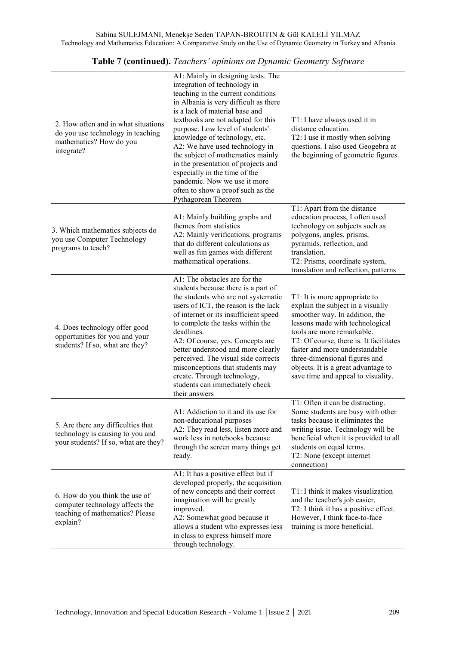| 2. How often and in what situations<br>do you use technology in teaching<br>mathematics? How do you<br>integrate? | A1: Mainly in designing tests. The<br>integration of technology in<br>teaching in the current conditions<br>in Albania is very difficult as there<br>is a lack of material base and<br>textbooks are not adapted for this<br>purpose. Low level of students'<br>knowledge of technology, etc.<br>A2: We have used technology in<br>the subject of mathematics mainly<br>in the presentation of projects and<br>especially in the time of the<br>pandemic. Now we use it more<br>often to show a proof such as the<br>Pythagorean Theorem | T1: I have always used it in<br>distance education.<br>T2: I use it mostly when solving<br>questions. I also used Geogebra at<br>the beginning of geometric figures.                                                                                                                                                                                             |
|-------------------------------------------------------------------------------------------------------------------|------------------------------------------------------------------------------------------------------------------------------------------------------------------------------------------------------------------------------------------------------------------------------------------------------------------------------------------------------------------------------------------------------------------------------------------------------------------------------------------------------------------------------------------|------------------------------------------------------------------------------------------------------------------------------------------------------------------------------------------------------------------------------------------------------------------------------------------------------------------------------------------------------------------|
| 3. Which mathematics subjects do<br>you use Computer Technology<br>programs to teach?                             | A1: Mainly building graphs and<br>themes from statistics<br>A2: Mainly verifications, programs<br>that do different calculations as<br>well as fun games with different<br>mathematical operations.                                                                                                                                                                                                                                                                                                                                      | T1: Apart from the distance<br>education process, I often used<br>technology on subjects such as<br>polygons, angles, prisms,<br>pyramids, reflection, and<br>translation.<br>T2: Prisms, coordinate system,<br>translation and reflection, patterns                                                                                                             |
| 4. Does technology offer good<br>opportunities for you and your<br>students? If so, what are they?                | A1: The obstacles are for the<br>students because there is a part of<br>the students who are not systematic<br>users of ICT, the reason is the lack<br>of internet or its insufficient speed<br>to complete the tasks within the<br>deadlines.<br>A2: Of course, yes. Concepts are<br>better understood and more clearly<br>perceived. The visual side corrects<br>misconceptions that students may<br>create. Through technology,<br>students can immediately check<br>their answers                                                    | T1: It is more appropriate to<br>explain the subject in a visually<br>smoother way. In addition, the<br>lessons made with technological<br>tools are more remarkable.<br>T2: Of course, there is. It facilitates<br>faster and more understandable<br>three-dimensional figures and<br>objects. It is a great advantage to<br>save time and appeal to visuality. |
| 5. Are there any difficulties that<br>technology is causing to you and<br>your students? If so, what are they?    | A1: Addiction to it and its use for<br>non-educational purposes<br>A2: They read less, listen more and<br>work less in notebooks because<br>through the screen many things get<br>ready.                                                                                                                                                                                                                                                                                                                                                 | T1: Often it can be distracting.<br>Some students are busy with other<br>tasks because it eliminates the<br>writing issue. Technology will be<br>beneficial when it is provided to all<br>students on equal terms.<br>T2: None (except internet<br>connection)                                                                                                   |
| 6. How do you think the use of<br>computer technology affects the<br>teaching of mathematics? Please<br>explain?  | A1: It has a positive effect but if<br>developed properly, the acquisition<br>of new concepts and their correct<br>imagination will be greatly<br>improved.<br>A2: Somewhat good because it<br>allows a student who expresses less<br>in class to express himself more<br>through technology.                                                                                                                                                                                                                                            | T1: I think it makes visualization<br>and the teacher's job easier.<br>T2: I think it has a positive effect.<br>However, I think face-to-face<br>training is more beneficial.                                                                                                                                                                                    |

**Table 7 (continued).** *Teachers' opinions on Dynamic Geometry Software*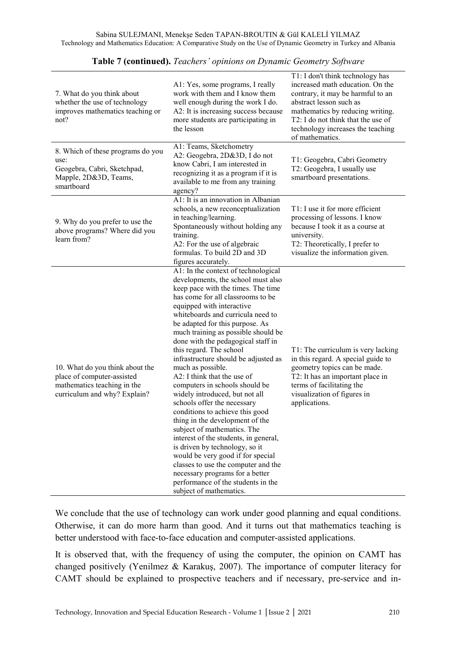| 7. What do you think about<br>whether the use of technology<br>improves mathematics teaching or<br>not?                      | A1: Yes, some programs, I really<br>work with them and I know them<br>well enough during the work I do.<br>A2: It is increasing success because<br>more students are participating in<br>the lesson                                                                                                                                                                                                                                                                                                                                                                                                                                                                                                                                                                                                                                                                                                                              | T1: I don't think technology has<br>increased math education. On the<br>contrary, it may be harmful to an<br>abstract lesson such as<br>mathematics by reducing writing.<br>T2: I do not think that the use of<br>technology increases the teaching<br>of mathematics. |
|------------------------------------------------------------------------------------------------------------------------------|----------------------------------------------------------------------------------------------------------------------------------------------------------------------------------------------------------------------------------------------------------------------------------------------------------------------------------------------------------------------------------------------------------------------------------------------------------------------------------------------------------------------------------------------------------------------------------------------------------------------------------------------------------------------------------------------------------------------------------------------------------------------------------------------------------------------------------------------------------------------------------------------------------------------------------|------------------------------------------------------------------------------------------------------------------------------------------------------------------------------------------------------------------------------------------------------------------------|
| 8. Which of these programs do you<br>use:<br>Geogebra, Cabri, Sketchpad,<br>Mapple, 2D&3D, Teams,<br>smartboard              | A1: Teams, Sketchometry<br>A2: Geogebra, 2D&3D, I do not<br>know Cabri, I am interested in<br>recognizing it as a program if it is<br>available to me from any training<br>agency?                                                                                                                                                                                                                                                                                                                                                                                                                                                                                                                                                                                                                                                                                                                                               | T1: Geogebra, Cabri Geometry<br>T2: Geogebra, I usually use<br>smartboard presentations.                                                                                                                                                                               |
| 9. Why do you prefer to use the<br>above programs? Where did you<br>learn from?                                              | A1: It is an innovation in Albanian<br>schools, a new reconceptualization<br>in teaching/learning.<br>Spontaneously without holding any<br>training.<br>A2: For the use of algebraic<br>formulas. To build 2D and 3D<br>figures accurately.                                                                                                                                                                                                                                                                                                                                                                                                                                                                                                                                                                                                                                                                                      | T1: I use it for more efficient<br>processing of lessons. I know<br>because I took it as a course at<br>university.<br>T2: Theoretically, I prefer to<br>visualize the information given.                                                                              |
| 10. What do you think about the<br>place of computer-assisted<br>mathematics teaching in the<br>curriculum and why? Explain? | A1: In the context of technological<br>developments, the school must also<br>keep pace with the times. The time<br>has come for all classrooms to be<br>equipped with interactive<br>whiteboards and curricula need to<br>be adapted for this purpose. As<br>much training as possible should be<br>done with the pedagogical staff in<br>this regard. The school<br>infrastructure should be adjusted as<br>much as possible.<br>A2: I think that the use of<br>computers in schools should be<br>widely introduced, but not all<br>schools offer the necessary<br>conditions to achieve this good<br>thing in the development of the<br>subject of mathematics. The<br>interest of the students, in general,<br>is driven by technology, so it<br>would be very good if for special<br>classes to use the computer and the<br>necessary programs for a better<br>performance of the students in the<br>subject of mathematics. | T1: The curriculum is very lacking<br>in this regard. A special guide to<br>geometry topics can be made.<br>T2: It has an important place in<br>terms of facilitating the<br>visualization of figures in<br>applications.                                              |

**Table 7 (continued).** *Teachers' opinions on Dynamic Geometry Software*

We conclude that the use of technology can work under good planning and equal conditions. Otherwise, it can do more harm than good. And it turns out that mathematics teaching is better understood with face-to-face education and computer-assisted applications.

It is observed that, with the frequency of using the computer, the opinion on CAMT has changed positively (Yenilmez & Karakuş, 2007). The importance of computer literacy for CAMT should be explained to prospective teachers and if necessary, pre-service and in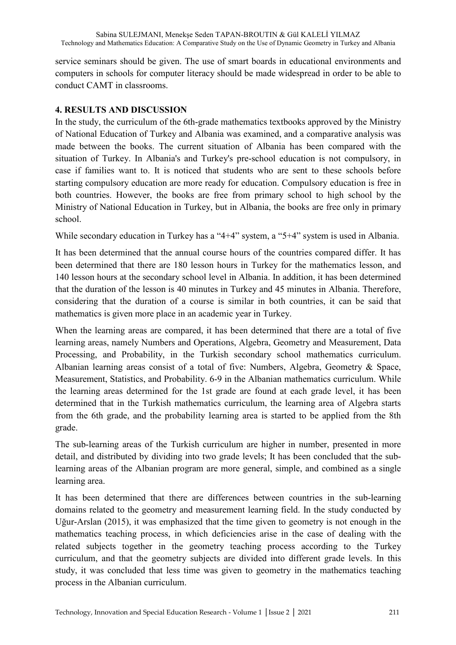service seminars should be given. The use of smart boards in educational environments and computers in schools for computer literacy should be made widespread in order to be able to conduct CAMT in classrooms.

### **4. RESULTS AND DISCUSSION**

In the study, the curriculum of the 6th-grade mathematics textbooks approved by the Ministry of National Education of Turkey and Albania was examined, and a comparative analysis was made between the books. The current situation of Albania has been compared with the situation of Turkey. In Albania's and Turkey's pre-school education is not compulsory, in case if families want to. It is noticed that students who are sent to these schools before starting compulsory education are more ready for education. Compulsory education is free in both countries. However, the books are free from primary school to high school by the Ministry of National Education in Turkey, but in Albania, the books are free only in primary school.

While secondary education in Turkey has a "4+4" system, a "5+4" system is used in Albania.

It has been determined that the annual course hours of the countries compared differ. It has been determined that there are 180 lesson hours in Turkey for the mathematics lesson, and 140 lesson hours at the secondary school level in Albania. In addition, it has been determined that the duration of the lesson is 40 minutes in Turkey and 45 minutes in Albania. Therefore, considering that the duration of a course is similar in both countries, it can be said that mathematics is given more place in an academic year in Turkey.

When the learning areas are compared, it has been determined that there are a total of five learning areas, namely Numbers and Operations, Algebra, Geometry and Measurement, Data Processing, and Probability, in the Turkish secondary school mathematics curriculum. Albanian learning areas consist of a total of five: Numbers, Algebra, Geometry & Space, Measurement, Statistics, and Probability. 6-9 in the Albanian mathematics curriculum. While the learning areas determined for the 1st grade are found at each grade level, it has been determined that in the Turkish mathematics curriculum, the learning area of Algebra starts from the 6th grade, and the probability learning area is started to be applied from the 8th grade.

The sub-learning areas of the Turkish curriculum are higher in number, presented in more detail, and distributed by dividing into two grade levels; It has been concluded that the sublearning areas of the Albanian program are more general, simple, and combined as a single learning area.

It has been determined that there are differences between countries in the sub-learning domains related to the geometry and measurement learning field. In the study conducted by Uğur-Arslan (2015), it was emphasized that the time given to geometry is not enough in the mathematics teaching process, in which deficiencies arise in the case of dealing with the related subjects together in the geometry teaching process according to the Turkey curriculum, and that the geometry subjects are divided into different grade levels. In this study, it was concluded that less time was given to geometry in the mathematics teaching process in the Albanian curriculum.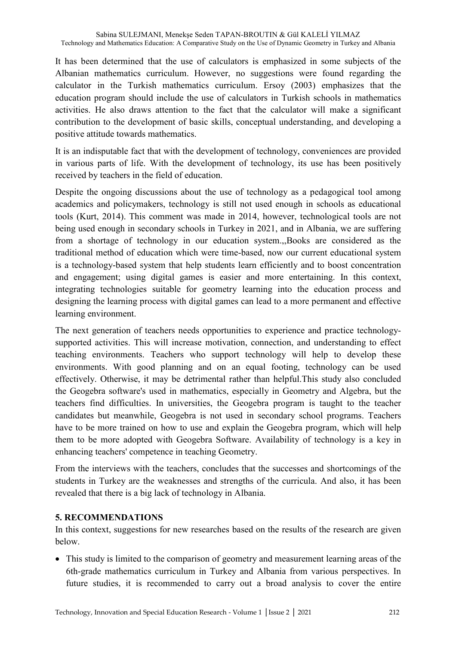It has been determined that the use of calculators is emphasized in some subjects of the Albanian mathematics curriculum. However, no suggestions were found regarding the calculator in the Turkish mathematics curriculum. Ersoy (2003) emphasizes that the education program should include the use of calculators in Turkish schools in mathematics activities. He also draws attention to the fact that the calculator will make a significant contribution to the development of basic skills, conceptual understanding, and developing a positive attitude towards mathematics.

It is an indisputable fact that with the development of technology, conveniences are provided in various parts of life. With the development of technology, its use has been positively received by teachers in the field of education.

Despite the ongoing discussions about the use of technology as a pedagogical tool among academics and policymakers, technology is still not used enough in schools as educational tools (Kurt, 2014). This comment was made in 2014, however, technological tools are not being used enough in secondary schools in Turkey in 2021, and in Albania, we are suffering from a shortage of technology in our education system.,,Books are considered as the traditional method of education which were time-based, now our current educational system is a technology-based system that help students learn efficiently and to boost concentration and engagement; using digital games is easier and more entertaining. In this context, integrating technologies suitable for geometry learning into the education process and designing the learning process with digital games can lead to a more permanent and effective learning environment.

The next generation of teachers needs opportunities to experience and practice technologysupported activities. This will increase motivation, connection, and understanding to effect teaching environments. Teachers who support technology will help to develop these environments. With good planning and on an equal footing, technology can be used effectively. Otherwise, it may be detrimental rather than helpful.This study also concluded the Geogebra software's used in mathematics, especially in Geometry and Algebra, but the teachers find difficulties. In universities, the Geogebra program is taught to the teacher candidates but meanwhile, Geogebra is not used in secondary school programs. Teachers have to be more trained on how to use and explain the Geogebra program, which will help them to be more adopted with Geogebra Software. Availability of technology is a key in enhancing teachers' competence in teaching Geometry.

From the interviews with the teachers, concludes that the successes and shortcomings of the students in Turkey are the weaknesses and strengths of the curricula. And also, it has been revealed that there is a big lack of technology in Albania.

#### **5. RECOMMENDATIONS**

In this context, suggestions for new researches based on the results of the research are given below.

• This study is limited to the comparison of geometry and measurement learning areas of the 6th-grade mathematics curriculum in Turkey and Albania from various perspectives. In future studies, it is recommended to carry out a broad analysis to cover the entire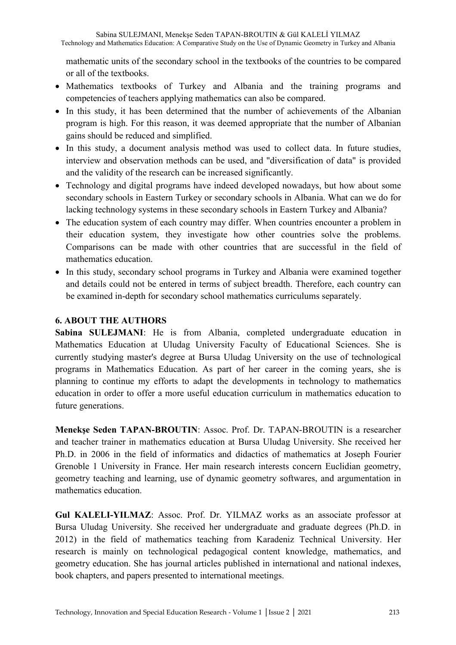mathematic units of the secondary school in the textbooks of the countries to be compared or all of the textbooks.

- Mathematics textbooks of Turkey and Albania and the training programs and competencies of teachers applying mathematics can also be compared.
- In this study, it has been determined that the number of achievements of the Albanian program is high. For this reason, it was deemed appropriate that the number of Albanian gains should be reduced and simplified.
- In this study, a document analysis method was used to collect data. In future studies, interview and observation methods can be used, and "diversification of data" is provided and the validity of the research can be increased significantly.
- Technology and digital programs have indeed developed nowadays, but how about some secondary schools in Eastern Turkey or secondary schools in Albania. What can we do for lacking technology systems in these secondary schools in Eastern Turkey and Albania?
- The education system of each country may differ. When countries encounter a problem in their education system, they investigate how other countries solve the problems. Comparisons can be made with other countries that are successful in the field of mathematics education.
- In this study, secondary school programs in Turkey and Albania were examined together and details could not be entered in terms of subject breadth. Therefore, each country can be examined in-depth for secondary school mathematics curriculums separately.

### **6. ABOUT THE AUTHORS**

**Sabina SULEJMANI**: He is from Albania, completed undergraduate education in Mathematics Education at Uludag University Faculty of Educational Sciences. She is currently studying master's degree at Bursa Uludag University on the use of technological programs in Mathematics Education. As part of her career in the coming years, she is planning to continue my efforts to adapt the developments in technology to mathematics education in order to offer a more useful education curriculum in mathematics education to future generations.

**Menekşe Seden TAPAN-BROUTIN**: Assoc. Prof. Dr. TAPAN-BROUTIN is a researcher and teacher trainer in mathematics education at Bursa Uludag University. She received her Ph.D. in 2006 in the field of informatics and didactics of mathematics at Joseph Fourier Grenoble 1 University in France. Her main research interests concern Euclidian geometry, geometry teaching and learning, use of dynamic geometry softwares, and argumentation in mathematics education.

**Gul KALELI-YILMAZ**: Assoc. Prof. Dr. YILMAZ works as an associate professor at Bursa Uludag University. She received her undergraduate and graduate degrees (Ph.D. in 2012) in the field of mathematics teaching from Karadeniz Technical University. Her research is mainly on technological pedagogical content knowledge, mathematics, and geometry education. She has journal articles published in international and national indexes, book chapters, and papers presented to international meetings.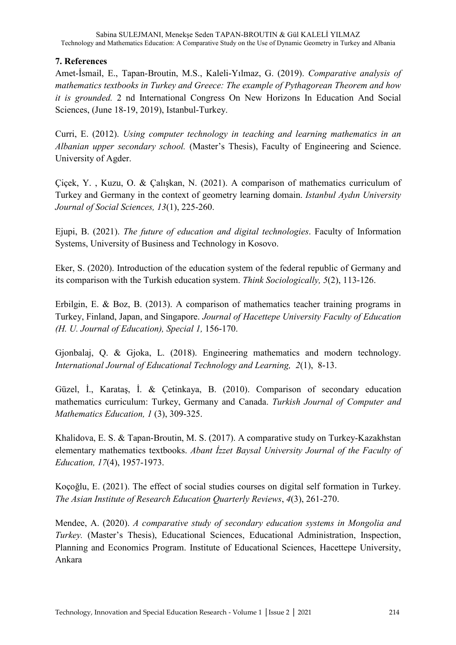### **7. References**

Amet-İsmail, E., Tapan-Broutin, M.S., Kaleli-Yılmaz, G. (2019). *Comparative analysis of mathematics textbooks in Turkey and Greece: The example of Pythagorean Theorem and how it is grounded.* 2 nd International Congress On New Horizons In Education And Social Sciences, (June 18-19, 2019), Istanbul-Turkey.

Curri, E. (2012). *Using computer technology in teaching and learning mathematics in an Albanian upper secondary school.* (Master's Thesis), Faculty of Engineering and Science. University of Agder.

Çiçek, Y. , Kuzu, O. & Çalışkan, N. (2021). A comparison of mathematics curriculum of Turkey and Germany in the context of geometry learning domain. *Istanbul Aydın University Journal of Social Sciences, 13*(1), 225-260.

Ejupi, B. (2021). *The future of education and digital technologies*. Faculty of Information Systems, University of Business and Technology in Kosovo.

Eker, S. (2020). Introduction of the education system of the federal republic of Germany and its comparison with the Turkish education system. *Think Sociologically, 5*(2), 113-126.

Erbilgin, E. & Boz, B. (2013). A comparison of mathematics teacher training programs in Turkey, Finland, Japan, and Singapore. *Journal of Hacettepe University Faculty of Education (H. U. Journal of Education), Special 1,* 156-170.

Gjonbalaj, Q. & Gjoka, L. (2018). Engineering mathematics and modern technology. *International Journal of Educational Technology and Learning, 2*(1), 8-13.

Güzel, İ., Karataş, İ. & Çetinkaya, B. (2010). Comparison of secondary education mathematics curriculum: Turkey, Germany and Canada. *Turkish Journal of Computer and Mathematics Education, 1* (3), 309-325.

Khalidova, E. S. & Tapan-Broutin, M. S. (2017). A comparative study on Turkey-Kazakhstan elementary mathematics textbooks. *Abant İzzet Baysal University Journal of the Faculty of Education, 17*(4), 1957-1973.

Koçoğlu, E. (2021). The effect of social studies courses on digital self formation in Turkey. *The Asian Institute of Research Education Quarterly Reviews*, *4*(3), 261-270.

Mendee, A. (2020). *A comparative study of secondary education systems in Mongolia and Turkey.* (Master's Thesis), Educational Sciences, Educational Administration, Inspection, Planning and Economics Program. Institute of Educational Sciences, Hacettepe University, Ankara